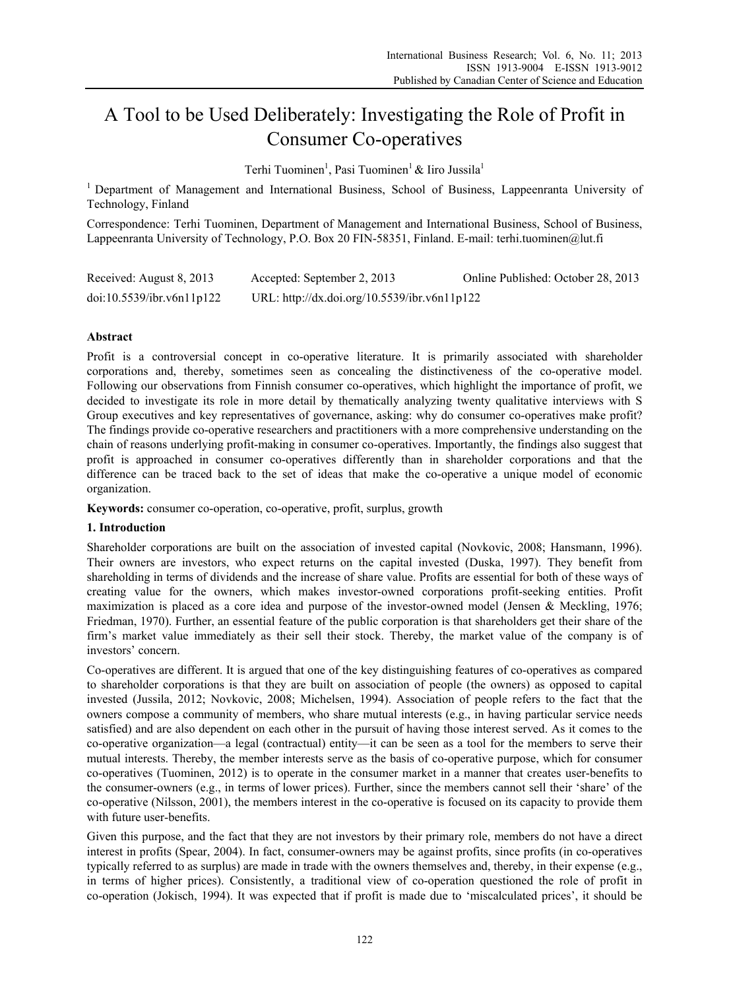# A Tool to be Used Deliberately: Investigating the Role of Profit in Consumer Co-operatives

Terhi Tuominen<sup>1</sup>, Pasi Tuominen<sup>1</sup> & Iiro Jussila<sup>1</sup>

1 Department of Management and International Business, School of Business, Lappeenranta University of Technology, Finland

Correspondence: Terhi Tuominen, Department of Management and International Business, School of Business, Lappeenranta University of Technology, P.O. Box 20 FIN-58351, Finland. E-mail: terhi.tuominen@lut.fi

| Received: August 8, 2013  | Accepted: September 2, 2013                  | Online Published: October 28, 2013 |
|---------------------------|----------------------------------------------|------------------------------------|
| doi:10.5539/ibr.v6n11p122 | URL: http://dx.doi.org/10.5539/ibr.v6n11p122 |                                    |

# **Abstract**

Profit is a controversial concept in co-operative literature. It is primarily associated with shareholder corporations and, thereby, sometimes seen as concealing the distinctiveness of the co-operative model. Following our observations from Finnish consumer co-operatives, which highlight the importance of profit, we decided to investigate its role in more detail by thematically analyzing twenty qualitative interviews with S Group executives and key representatives of governance, asking: why do consumer co-operatives make profit? The findings provide co-operative researchers and practitioners with a more comprehensive understanding on the chain of reasons underlying profit-making in consumer co-operatives. Importantly, the findings also suggest that profit is approached in consumer co-operatives differently than in shareholder corporations and that the difference can be traced back to the set of ideas that make the co-operative a unique model of economic organization.

**Keywords:** consumer co-operation, co-operative, profit, surplus, growth

# **1. Introduction**

Shareholder corporations are built on the association of invested capital (Novkovic, 2008; Hansmann, 1996). Their owners are investors, who expect returns on the capital invested (Duska, 1997). They benefit from shareholding in terms of dividends and the increase of share value. Profits are essential for both of these ways of creating value for the owners, which makes investor-owned corporations profit-seeking entities. Profit maximization is placed as a core idea and purpose of the investor-owned model (Jensen & Meckling, 1976; Friedman, 1970). Further, an essential feature of the public corporation is that shareholders get their share of the firm's market value immediately as their sell their stock. Thereby, the market value of the company is of investors' concern.

Co-operatives are different. It is argued that one of the key distinguishing features of co-operatives as compared to shareholder corporations is that they are built on association of people (the owners) as opposed to capital invested (Jussila, 2012; Novkovic, 2008; Michelsen, 1994). Association of people refers to the fact that the owners compose a community of members, who share mutual interests (e.g., in having particular service needs satisfied) and are also dependent on each other in the pursuit of having those interest served. As it comes to the co-operative organization—a legal (contractual) entity—it can be seen as a tool for the members to serve their mutual interests. Thereby, the member interests serve as the basis of co-operative purpose, which for consumer co-operatives (Tuominen, 2012) is to operate in the consumer market in a manner that creates user-benefits to the consumer-owners (e.g., in terms of lower prices). Further, since the members cannot sell their 'share' of the co-operative (Nilsson, 2001), the members interest in the co-operative is focused on its capacity to provide them with future user-benefits.

Given this purpose, and the fact that they are not investors by their primary role, members do not have a direct interest in profits (Spear, 2004). In fact, consumer-owners may be against profits, since profits (in co-operatives typically referred to as surplus) are made in trade with the owners themselves and, thereby, in their expense (e.g., in terms of higher prices). Consistently, a traditional view of co-operation questioned the role of profit in co-operation (Jokisch, 1994). It was expected that if profit is made due to 'miscalculated prices', it should be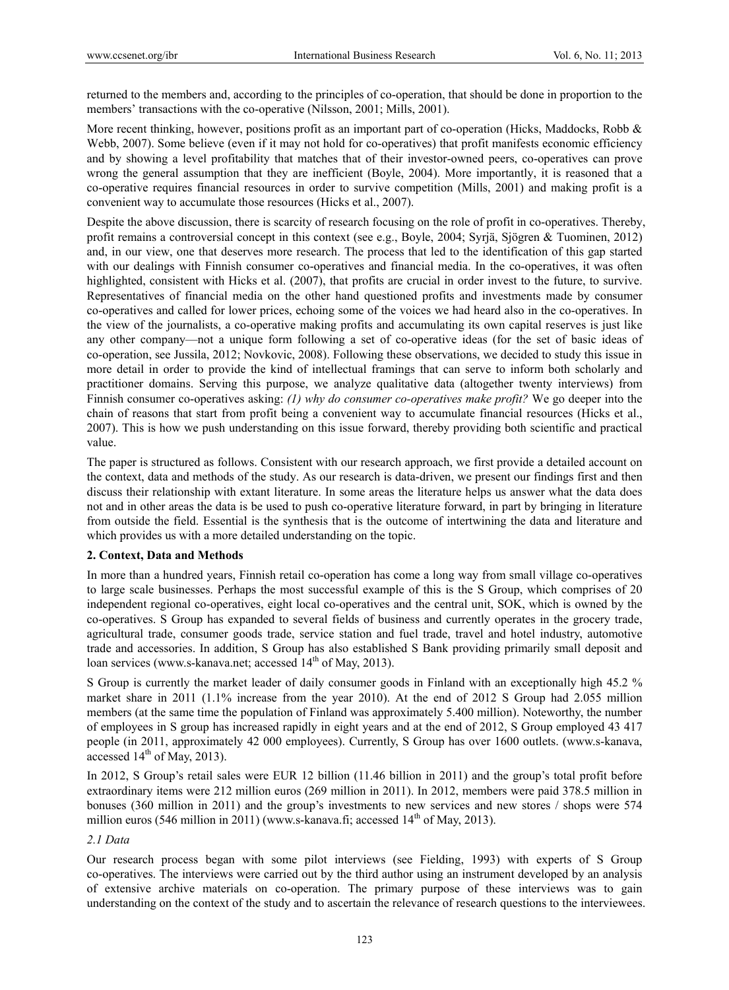returned to the members and, according to the principles of co-operation, that should be done in proportion to the members' transactions with the co-operative (Nilsson, 2001; Mills, 2001).

More recent thinking, however, positions profit as an important part of co-operation (Hicks, Maddocks, Robb & Webb, 2007). Some believe (even if it may not hold for co-operatives) that profit manifests economic efficiency and by showing a level profitability that matches that of their investor-owned peers, co-operatives can prove wrong the general assumption that they are inefficient (Boyle, 2004). More importantly, it is reasoned that a co-operative requires financial resources in order to survive competition (Mills, 2001) and making profit is a convenient way to accumulate those resources (Hicks et al., 2007).

Despite the above discussion, there is scarcity of research focusing on the role of profit in co-operatives. Thereby, profit remains a controversial concept in this context (see e.g., Boyle, 2004; Syrjä, Sjögren & Tuominen, 2012) and, in our view, one that deserves more research. The process that led to the identification of this gap started with our dealings with Finnish consumer co-operatives and financial media. In the co-operatives, it was often highlighted, consistent with Hicks et al. (2007), that profits are crucial in order invest to the future, to survive. Representatives of financial media on the other hand questioned profits and investments made by consumer co-operatives and called for lower prices, echoing some of the voices we had heard also in the co-operatives. In the view of the journalists, a co-operative making profits and accumulating its own capital reserves is just like any other company—not a unique form following a set of co-operative ideas (for the set of basic ideas of co-operation, see Jussila, 2012; Novkovic, 2008). Following these observations, we decided to study this issue in more detail in order to provide the kind of intellectual framings that can serve to inform both scholarly and practitioner domains. Serving this purpose, we analyze qualitative data (altogether twenty interviews) from Finnish consumer co-operatives asking: *(1) why do consumer co-operatives make profit?* We go deeper into the chain of reasons that start from profit being a convenient way to accumulate financial resources (Hicks et al., 2007). This is how we push understanding on this issue forward, thereby providing both scientific and practical value.

The paper is structured as follows. Consistent with our research approach, we first provide a detailed account on the context, data and methods of the study. As our research is data-driven, we present our findings first and then discuss their relationship with extant literature. In some areas the literature helps us answer what the data does not and in other areas the data is be used to push co-operative literature forward, in part by bringing in literature from outside the field. Essential is the synthesis that is the outcome of intertwining the data and literature and which provides us with a more detailed understanding on the topic.

# **2. Context, Data and Methods**

In more than a hundred years, Finnish retail co-operation has come a long way from small village co-operatives to large scale businesses. Perhaps the most successful example of this is the S Group, which comprises of 20 independent regional co-operatives, eight local co-operatives and the central unit, SOK, which is owned by the co-operatives. S Group has expanded to several fields of business and currently operates in the grocery trade, agricultural trade, consumer goods trade, service station and fuel trade, travel and hotel industry, automotive trade and accessories. In addition, S Group has also established S Bank providing primarily small deposit and loan services (www.s-kanava.net; accessed 14<sup>th</sup> of May, 2013).

S Group is currently the market leader of daily consumer goods in Finland with an exceptionally high 45.2 % market share in 2011 (1.1% increase from the year 2010). At the end of 2012 S Group had 2.055 million members (at the same time the population of Finland was approximately 5.400 million). Noteworthy, the number of employees in S group has increased rapidly in eight years and at the end of 2012, S Group employed 43 417 people (in 2011, approximately 42 000 employees). Currently, S Group has over 1600 outlets. (www.s-kanava, accessed  $14<sup>th</sup>$  of May, 2013).

In 2012, S Group's retail sales were EUR 12 billion (11.46 billion in 2011) and the group's total profit before extraordinary items were 212 million euros (269 million in 2011). In 2012, members were paid 378.5 million in bonuses (360 million in 2011) and the group's investments to new services and new stores / shops were 574 million euros (546 million in 2011) (www.s-kanava.fi; accessed 14<sup>th</sup> of May, 2013).

# *2.1 Data*

Our research process began with some pilot interviews (see Fielding, 1993) with experts of S Group co-operatives. The interviews were carried out by the third author using an instrument developed by an analysis of extensive archive materials on co-operation. The primary purpose of these interviews was to gain understanding on the context of the study and to ascertain the relevance of research questions to the interviewees.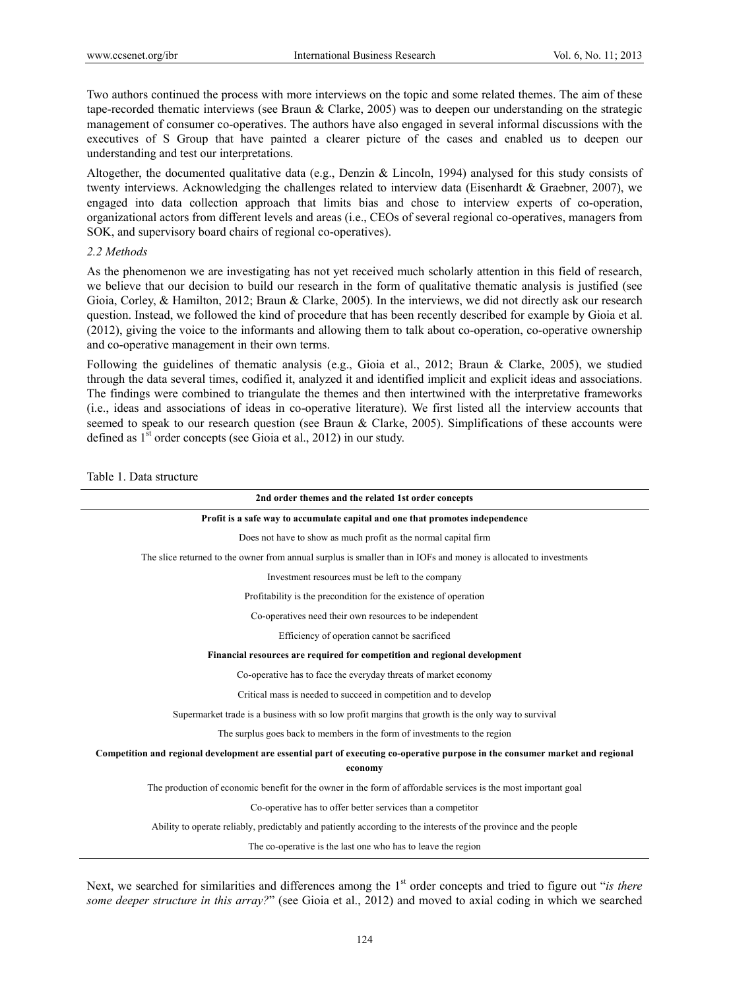Two authors continued the process with more interviews on the topic and some related themes. The aim of these tape-recorded thematic interviews (see Braun & Clarke, 2005) was to deepen our understanding on the strategic management of consumer co-operatives. The authors have also engaged in several informal discussions with the executives of S Group that have painted a clearer picture of the cases and enabled us to deepen our understanding and test our interpretations.

Altogether, the documented qualitative data (e.g., Denzin & Lincoln, 1994) analysed for this study consists of twenty interviews. Acknowledging the challenges related to interview data (Eisenhardt & Graebner, 2007), we engaged into data collection approach that limits bias and chose to interview experts of co-operation, organizational actors from different levels and areas (i.e., CEOs of several regional co-operatives, managers from SOK, and supervisory board chairs of regional co-operatives).

# *2.2 Methods*

As the phenomenon we are investigating has not yet received much scholarly attention in this field of research, we believe that our decision to build our research in the form of qualitative thematic analysis is justified (see Gioia, Corley, & Hamilton, 2012; Braun & Clarke, 2005). In the interviews, we did not directly ask our research question. Instead, we followed the kind of procedure that has been recently described for example by Gioia et al. (2012), giving the voice to the informants and allowing them to talk about co-operation, co-operative ownership and co-operative management in their own terms.

Following the guidelines of thematic analysis (e.g., Gioia et al., 2012; Braun & Clarke, 2005), we studied through the data several times, codified it, analyzed it and identified implicit and explicit ideas and associations. The findings were combined to triangulate the themes and then intertwined with the interpretative frameworks (i.e., ideas and associations of ideas in co-operative literature). We first listed all the interview accounts that seemed to speak to our research question (see Braun & Clarke, 2005). Simplifications of these accounts were defined as  $1<sup>st</sup>$  order concepts (see Gioia et al., 2012) in our study.

| Table 1. Data structure |  |
|-------------------------|--|
|-------------------------|--|

| 2nd order themes and the related 1st order concepts                                                                           |  |  |  |
|-------------------------------------------------------------------------------------------------------------------------------|--|--|--|
| Profit is a safe way to accumulate capital and one that promotes independence                                                 |  |  |  |
| Does not have to show as much profit as the normal capital firm                                                               |  |  |  |
| The slice returned to the owner from annual surplus is smaller than in IOFs and money is allocated to investments             |  |  |  |
| Investment resources must be left to the company                                                                              |  |  |  |
| Profitability is the precondition for the existence of operation                                                              |  |  |  |
| Co-operatives need their own resources to be independent                                                                      |  |  |  |
| Efficiency of operation cannot be sacrificed                                                                                  |  |  |  |
| Financial resources are required for competition and regional development                                                     |  |  |  |
| Co-operative has to face the everyday threats of market economy                                                               |  |  |  |
| Critical mass is needed to succeed in competition and to develop                                                              |  |  |  |
| Supermarket trade is a business with so low profit margins that growth is the only way to survival                            |  |  |  |
| The surplus goes back to members in the form of investments to the region                                                     |  |  |  |
| Competition and regional development are essential part of executing co-operative purpose in the consumer market and regional |  |  |  |
| economy                                                                                                                       |  |  |  |
| The production of economic benefit for the owner in the form of affordable services is the most important goal                |  |  |  |
| Co-operative has to offer better services than a competitor                                                                   |  |  |  |
| Ability to operate reliably, predictably and patiently according to the interests of the province and the people              |  |  |  |
| The co-operative is the last one who has to leave the region                                                                  |  |  |  |

Next, we searched for similarities and differences among the 1<sup>st</sup> order concepts and tried to figure out "*is there some deeper structure in this array?*" (see Gioia et al., 2012) and moved to axial coding in which we searched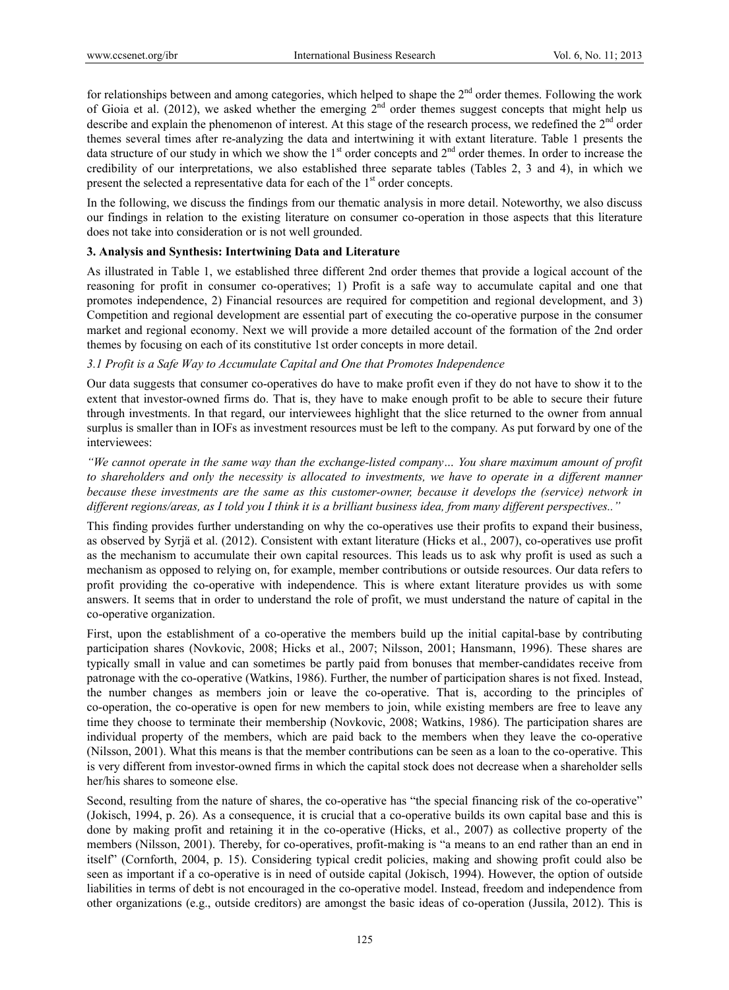for relationships between and among categories, which helped to shape the  $2<sup>nd</sup>$  order themes. Following the work of Gioia et al. (2012), we asked whether the emerging  $2<sup>nd</sup>$  order themes suggest concepts that might help us describe and explain the phenomenon of interest. At this stage of the research process, we redefined the 2<sup>nd</sup> order themes several times after re-analyzing the data and intertwining it with extant literature. Table 1 presents the data structure of our study in which we show the  $1<sup>st</sup>$  order concepts and  $2<sup>nd</sup>$  order themes. In order to increase the credibility of our interpretations, we also established three separate tables (Tables 2, 3 and 4), in which we present the selected a representative data for each of the  $1<sup>st</sup>$  order concepts.

In the following, we discuss the findings from our thematic analysis in more detail. Noteworthy, we also discuss our findings in relation to the existing literature on consumer co-operation in those aspects that this literature does not take into consideration or is not well grounded.

# **3. Analysis and Synthesis: Intertwining Data and Literature**

As illustrated in Table 1, we established three different 2nd order themes that provide a logical account of the reasoning for profit in consumer co-operatives; 1) Profit is a safe way to accumulate capital and one that promotes independence, 2) Financial resources are required for competition and regional development, and 3) Competition and regional development are essential part of executing the co-operative purpose in the consumer market and regional economy. Next we will provide a more detailed account of the formation of the 2nd order themes by focusing on each of its constitutive 1st order concepts in more detail.

# *3.1 Profit is a Safe Way to Accumulate Capital and One that Promotes Independence*

Our data suggests that consumer co-operatives do have to make profit even if they do not have to show it to the extent that investor-owned firms do. That is, they have to make enough profit to be able to secure their future through investments. In that regard, our interviewees highlight that the slice returned to the owner from annual surplus is smaller than in IOFs as investment resources must be left to the company. As put forward by one of the interviewees:

*"We cannot operate in the same way than the exchange-listed company… You share maximum amount of profit to shareholders and only the necessity is allocated to investments, we have to operate in a different manner because these investments are the same as this customer-owner, because it develops the (service) network in different regions/areas, as I told you I think it is a brilliant business idea, from many different perspectives.."* 

This finding provides further understanding on why the co-operatives use their profits to expand their business, as observed by Syrjä et al. (2012). Consistent with extant literature (Hicks et al., 2007), co-operatives use profit as the mechanism to accumulate their own capital resources. This leads us to ask why profit is used as such a mechanism as opposed to relying on, for example, member contributions or outside resources. Our data refers to profit providing the co-operative with independence. This is where extant literature provides us with some answers. It seems that in order to understand the role of profit, we must understand the nature of capital in the co-operative organization.

First, upon the establishment of a co-operative the members build up the initial capital-base by contributing participation shares (Novkovic, 2008; Hicks et al., 2007; Nilsson, 2001; Hansmann, 1996). These shares are typically small in value and can sometimes be partly paid from bonuses that member-candidates receive from patronage with the co-operative (Watkins, 1986). Further, the number of participation shares is not fixed. Instead, the number changes as members join or leave the co-operative. That is, according to the principles of co-operation, the co-operative is open for new members to join, while existing members are free to leave any time they choose to terminate their membership (Novkovic, 2008; Watkins, 1986). The participation shares are individual property of the members, which are paid back to the members when they leave the co-operative (Nilsson, 2001). What this means is that the member contributions can be seen as a loan to the co-operative. This is very different from investor-owned firms in which the capital stock does not decrease when a shareholder sells her/his shares to someone else.

Second, resulting from the nature of shares, the co-operative has "the special financing risk of the co-operative" (Jokisch, 1994, p. 26). As a consequence, it is crucial that a co-operative builds its own capital base and this is done by making profit and retaining it in the co-operative (Hicks, et al., 2007) as collective property of the members (Nilsson, 2001). Thereby, for co-operatives, profit-making is "a means to an end rather than an end in itself" (Cornforth, 2004, p. 15). Considering typical credit policies, making and showing profit could also be seen as important if a co-operative is in need of outside capital (Jokisch, 1994). However, the option of outside liabilities in terms of debt is not encouraged in the co-operative model. Instead, freedom and independence from other organizations (e.g., outside creditors) are amongst the basic ideas of co-operation (Jussila, 2012). This is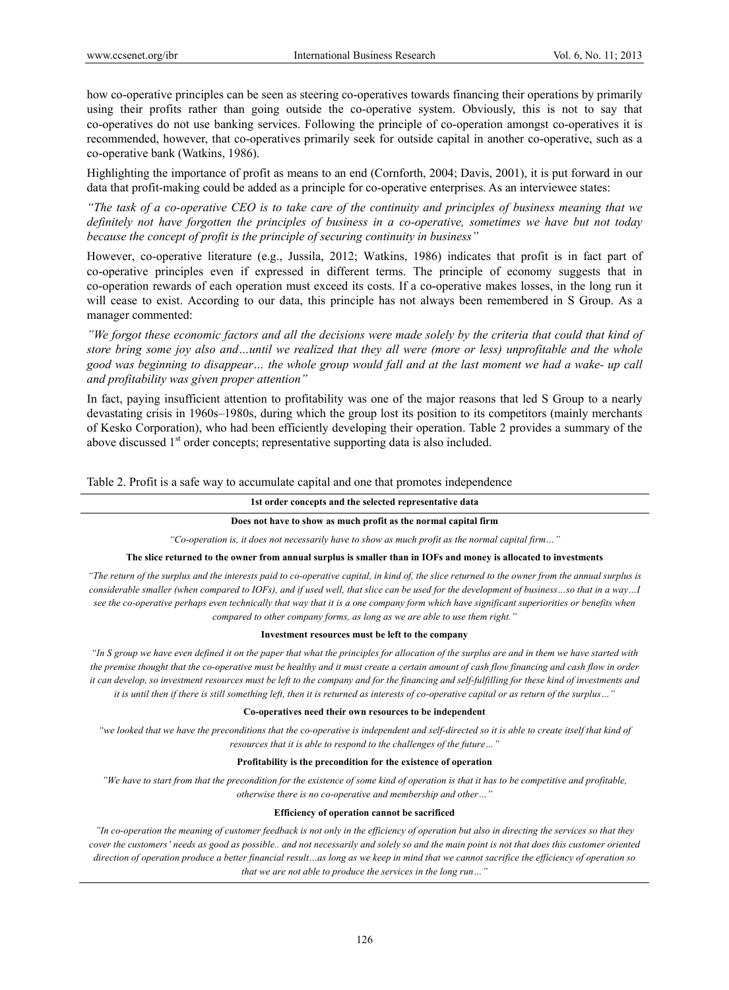how co-operative principles can be seen as steering co-operatives towards financing their operations by primarily using their profits rather than going outside the co-operative system. Obviously, this is not to say that co-operatives do not use banking services. Following the principle of co-operation amongst co-operatives it is recommended, however, that co-operatives primarily seek for outside capital in another co-operative, such as a co-operative bank (Watkins, 1986).

Highlighting the importance of profit as means to an end (Cornforth, 2004; Davis, 2001), it is put forward in our data that profit-making could be added as a principle for co-operative enterprises. As an interviewee states:

*"The task of a co-operative CEO is to take care of the continuity and principles of business meaning that we definitely not have forgotten the principles of business in a co-operative, sometimes we have but not today because the concept of profit is the principle of securing continuity in business"* 

However, co-operative literature (e.g., Jussila, 2012; Watkins, 1986) indicates that profit is in fact part of co-operative principles even if expressed in different terms. The principle of economy suggests that in co-operation rewards of each operation must exceed its costs. If a co-operative makes losses, in the long run it will cease to exist. According to our data, this principle has not always been remembered in S Group. As a manager commented:

*"We forgot these economic factors and all the decisions were made solely by the criteria that could that kind of store bring some joy also and…until we realized that they all were (more or less) unprofitable and the whole good was beginning to disappear… the whole group would fall and at the last moment we had a wake- up call and profitability was given proper attention"* 

In fact, paying insufficient attention to profitability was one of the major reasons that led S Group to a nearly devastating crisis in 1960s–1980s, during which the group lost its position to its competitors (mainly merchants of Kesko Corporation), who had been efficiently developing their operation. Table 2 provides a summary of the above discussed 1<sup>st</sup> order concepts; representative supporting data is also included.

Table 2. Profit is a safe way to accumulate capital and one that promotes independence

## **1st order concepts and the selected representative data**

#### **Does not have to show as much profit as the normal capital firm**

*"Co-operation is, it does not necessarily have to show as much profit as the normal capital firm…"* 

## **The slice returned to the owner from annual surplus is smaller than in IOFs and money is allocated to investments**

*"The return of the surplus and the interests paid to co-operative capital, in kind of, the slice returned to the owner from the annual surplus is considerable smaller (when compared to IOFs), and if used well, that slice can be used for the development of business…so that in a way…I see the co-operative perhaps even technically that way that it is a one company form which have significant superiorities or benefits when compared to other company forms, as long as we are able to use them right."* 

#### **Investment resources must be left to the company**

*"In S group we have even defined it on the paper that what the principles for allocation of the surplus are and in them we have started with the premise thought that the co-operative must be healthy and it must create a certain amount of cash flow financing and cash flow in order it can develop, so investment resources must be left to the company and for the financing and self-fulfilling for these kind of investments and it is until then if there is still something left, then it is returned as interests of co-operative capital or as return of the surplus…"* 

#### **Co-operatives need their own resources to be independent**

*"we looked that we have the preconditions that the co-operative is independent and self-directed so it is able to create itself that kind of resources that it is able to respond to the challenges of the future…"* 

#### **Profitability is the precondition for the existence of operation**

*"We have to start from that the precondition for the existence of some kind of operation is that it has to be competitive and profitable, otherwise there is no co-operative and membership and other…"* 

#### **Efficiency of operation cannot be sacrificed**

*"In co-operation the meaning of customer feedback is not only in the efficiency of operation but also in directing the services so that they cover the customers' needs as good as possible.. and not necessarily and solely so and the main point is not that does this customer oriented direction of operation produce a better financial result…as long as we keep in mind that we cannot sacrifice the efficiency of operation so that we are not able to produce the services in the long run…"*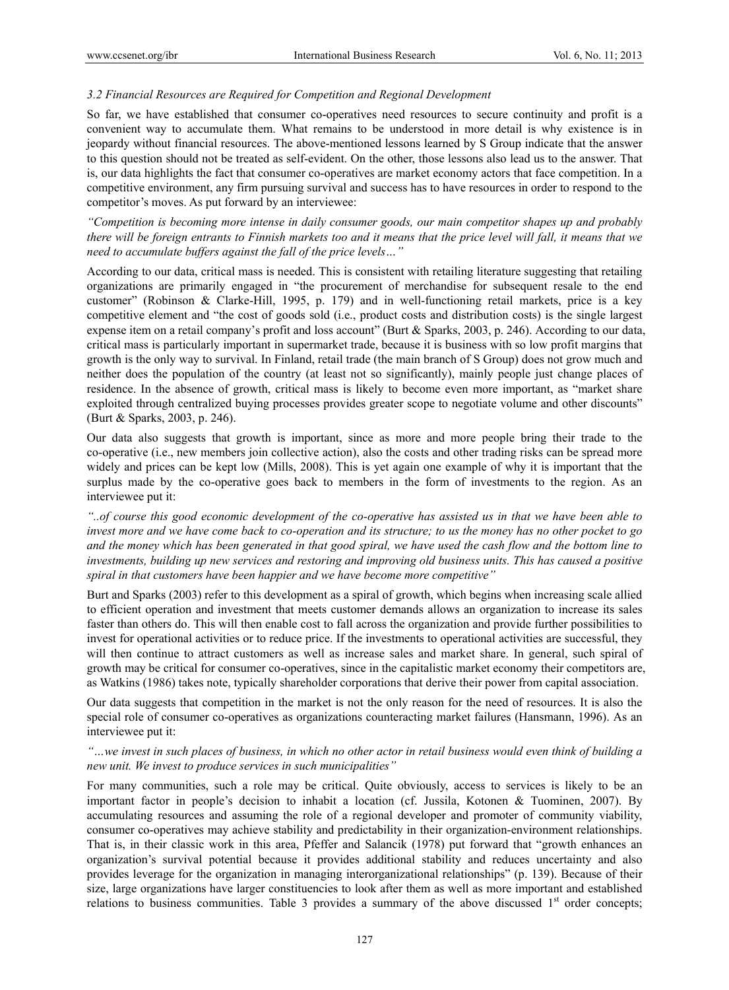# *3.2 Financial Resources are Required for Competition and Regional Development*

So far, we have established that consumer co-operatives need resources to secure continuity and profit is a convenient way to accumulate them. What remains to be understood in more detail is why existence is in jeopardy without financial resources. The above-mentioned lessons learned by S Group indicate that the answer to this question should not be treated as self-evident. On the other, those lessons also lead us to the answer. That is, our data highlights the fact that consumer co-operatives are market economy actors that face competition. In a competitive environment, any firm pursuing survival and success has to have resources in order to respond to the competitor's moves. As put forward by an interviewee:

*"Competition is becoming more intense in daily consumer goods, our main competitor shapes up and probably there will be foreign entrants to Finnish markets too and it means that the price level will fall, it means that we need to accumulate buffers against the fall of the price levels…"* 

According to our data, critical mass is needed. This is consistent with retailing literature suggesting that retailing organizations are primarily engaged in "the procurement of merchandise for subsequent resale to the end customer" (Robinson & Clarke-Hill, 1995, p. 179) and in well-functioning retail markets, price is a key competitive element and "the cost of goods sold (i.e., product costs and distribution costs) is the single largest expense item on a retail company's profit and loss account" (Burt & Sparks, 2003, p. 246). According to our data, critical mass is particularly important in supermarket trade, because it is business with so low profit margins that growth is the only way to survival. In Finland, retail trade (the main branch of S Group) does not grow much and neither does the population of the country (at least not so significantly), mainly people just change places of residence. In the absence of growth, critical mass is likely to become even more important, as "market share exploited through centralized buying processes provides greater scope to negotiate volume and other discounts" (Burt & Sparks, 2003, p. 246).

Our data also suggests that growth is important, since as more and more people bring their trade to the co-operative (i.e., new members join collective action), also the costs and other trading risks can be spread more widely and prices can be kept low (Mills, 2008). This is yet again one example of why it is important that the surplus made by the co-operative goes back to members in the form of investments to the region. As an interviewee put it:

*"..of course this good economic development of the co-operative has assisted us in that we have been able to invest more and we have come back to co-operation and its structure; to us the money has no other pocket to go and the money which has been generated in that good spiral, we have used the cash flow and the bottom line to investments, building up new services and restoring and improving old business units. This has caused a positive spiral in that customers have been happier and we have become more competitive"* 

Burt and Sparks (2003) refer to this development as a spiral of growth, which begins when increasing scale allied to efficient operation and investment that meets customer demands allows an organization to increase its sales faster than others do. This will then enable cost to fall across the organization and provide further possibilities to invest for operational activities or to reduce price. If the investments to operational activities are successful, they will then continue to attract customers as well as increase sales and market share. In general, such spiral of growth may be critical for consumer co-operatives, since in the capitalistic market economy their competitors are, as Watkins (1986) takes note, typically shareholder corporations that derive their power from capital association.

Our data suggests that competition in the market is not the only reason for the need of resources. It is also the special role of consumer co-operatives as organizations counteracting market failures (Hansmann, 1996). As an interviewee put it:

*"…we invest in such places of business, in which no other actor in retail business would even think of building a new unit. We invest to produce services in such municipalities"* 

For many communities, such a role may be critical. Quite obviously, access to services is likely to be an important factor in people's decision to inhabit a location (cf. Jussila, Kotonen & Tuominen, 2007). By accumulating resources and assuming the role of a regional developer and promoter of community viability, consumer co-operatives may achieve stability and predictability in their organization-environment relationships. That is, in their classic work in this area, Pfeffer and Salancik (1978) put forward that "growth enhances an organization's survival potential because it provides additional stability and reduces uncertainty and also provides leverage for the organization in managing interorganizational relationships" (p. 139). Because of their size, large organizations have larger constituencies to look after them as well as more important and established relations to business communities. Table 3 provides a summary of the above discussed  $1<sup>st</sup>$  order concepts;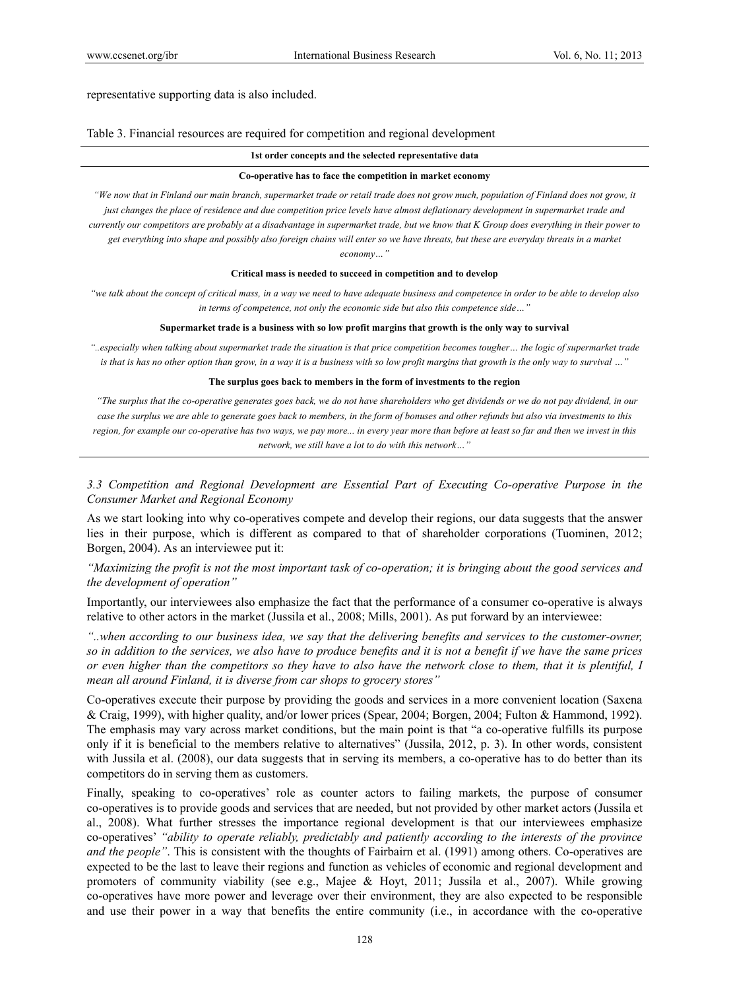## representative supporting data is also included.

#### Table 3. Financial resources are required for competition and regional development

#### **1st order concepts and the selected representative data**

#### **Co-operative has to face the competition in market economy**

*"We now that in Finland our main branch, supermarket trade or retail trade does not grow much, population of Finland does not grow, it just changes the place of residence and due competition price levels have almost deflationary development in supermarket trade and currently our competitors are probably at a disadvantage in supermarket trade, but we know that K Group does everything in their power to get everything into shape and possibly also foreign chains will enter so we have threats, but these are everyday threats in a market economy…"* 

#### **Critical mass is needed to succeed in competition and to develop**

*"we talk about the concept of critical mass, in a way we need to have adequate business and competence in order to be able to develop also in terms of competence, not only the economic side but also this competence side…"* 

#### **Supermarket trade is a business with so low profit margins that growth is the only way to survival**

*"..especially when talking about supermarket trade the situation is that price competition becomes tougher… the logic of supermarket trade is that is has no other option than grow, in a way it is a business with so low profit margins that growth is the only way to survival …"* 

#### **The surplus goes back to members in the form of investments to the region**

 *"The surplus that the co-operative generates goes back, we do not have shareholders who get dividends or we do not pay dividend, in our case the surplus we are able to generate goes back to members, in the form of bonuses and other refunds but also via investments to this region, for example our co-operative has two ways, we pay more... in every year more than before at least so far and then we invest in this network, we still have a lot to do with this network…"*

# *3.3 Competition and Regional Development are Essential Part of Executing Co-operative Purpose in the Consumer Market and Regional Economy*

As we start looking into why co-operatives compete and develop their regions, our data suggests that the answer lies in their purpose, which is different as compared to that of shareholder corporations (Tuominen, 2012; Borgen, 2004). As an interviewee put it:

## *"Maximizing the profit is not the most important task of co-operation; it is bringing about the good services and the development of operation"*

Importantly, our interviewees also emphasize the fact that the performance of a consumer co-operative is always relative to other actors in the market (Jussila et al., 2008; Mills, 2001). As put forward by an interviewee:

*"..when according to our business idea, we say that the delivering benefits and services to the customer-owner, so in addition to the services, we also have to produce benefits and it is not a benefit if we have the same prices or even higher than the competitors so they have to also have the network close to them, that it is plentiful, I mean all around Finland, it is diverse from car shops to grocery stores"* 

Co-operatives execute their purpose by providing the goods and services in a more convenient location (Saxena & Craig, 1999), with higher quality, and/or lower prices (Spear, 2004; Borgen, 2004; Fulton & Hammond, 1992). The emphasis may vary across market conditions, but the main point is that "a co-operative fulfills its purpose only if it is beneficial to the members relative to alternatives" (Jussila, 2012, p. 3). In other words, consistent with Jussila et al. (2008), our data suggests that in serving its members, a co-operative has to do better than its competitors do in serving them as customers.

Finally, speaking to co-operatives' role as counter actors to failing markets, the purpose of consumer co-operatives is to provide goods and services that are needed, but not provided by other market actors (Jussila et al., 2008). What further stresses the importance regional development is that our interviewees emphasize co-operatives' *"ability to operate reliably, predictably and patiently according to the interests of the province and the people"*. This is consistent with the thoughts of Fairbairn et al. (1991) among others. Co-operatives are expected to be the last to leave their regions and function as vehicles of economic and regional development and promoters of community viability (see e.g., Majee & Hoyt, 2011; Jussila et al., 2007). While growing co-operatives have more power and leverage over their environment, they are also expected to be responsible and use their power in a way that benefits the entire community (i.e., in accordance with the co-operative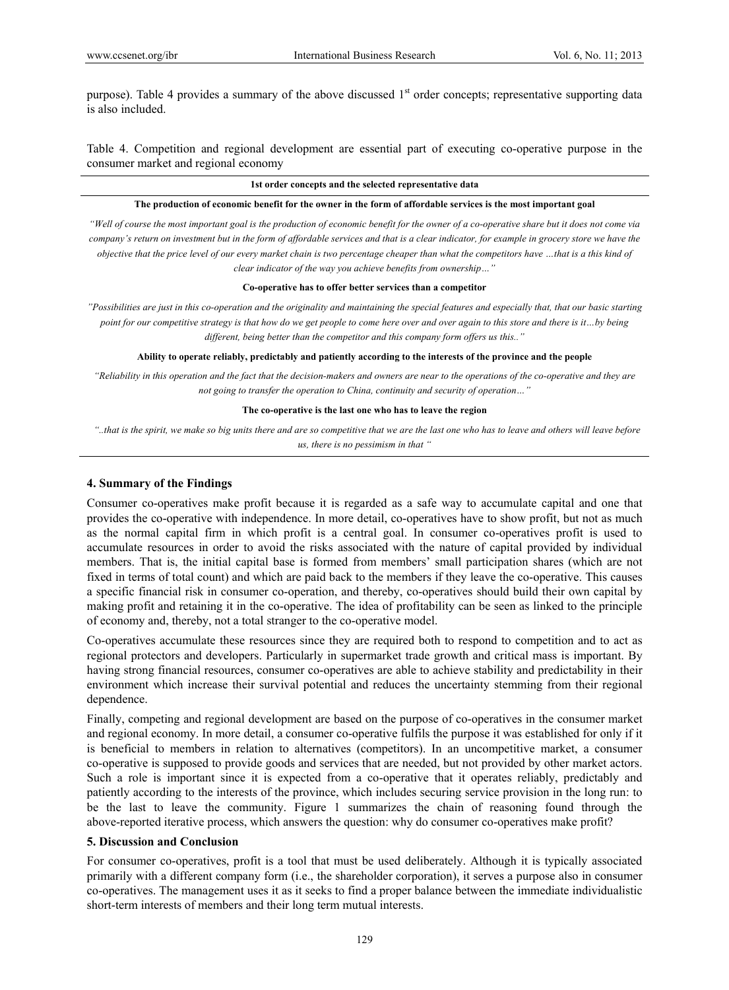purpose). Table 4 provides a summary of the above discussed  $1<sup>st</sup>$  order concepts; representative supporting data is also included.

Table 4. Competition and regional development are essential part of executing co-operative purpose in the consumer market and regional economy

#### **1st order concepts and the selected representative data**

#### **The production of economic benefit for the owner in the form of affordable services is the most important goal**

*"Well of course the most important goal is the production of economic benefit for the owner of a co-operative share but it does not come via company's return on investment but in the form of affordable services and that is a clear indicator, for example in grocery store we have the objective that the price level of our every market chain is two percentage cheaper than what the competitors have …that is a this kind of clear indicator of the way you achieve benefits from ownership…"* 

#### **Co-operative has to offer better services than a competitor**

*"Possibilities are just in this co-operation and the originality and maintaining the special features and especially that, that our basic starting point for our competitive strategy is that how do we get people to come here over and over again to this store and there is it…by being different, being better than the competitor and this company form offers us this.."* 

**Ability to operate reliably, predictably and patiently according to the interests of the province and the people** 

*"Reliability in this operation and the fact that the decision-makers and owners are near to the operations of the co-operative and they are not going to transfer the operation to China, continuity and security of operation…"* 

#### **The co-operative is the last one who has to leave the region**

 *"..that is the spirit, we make so big units there and are so competitive that we are the last one who has to leave and others will leave before us, there is no pessimism in that "*

#### **4. Summary of the Findings**

Consumer co-operatives make profit because it is regarded as a safe way to accumulate capital and one that provides the co-operative with independence. In more detail, co-operatives have to show profit, but not as much as the normal capital firm in which profit is a central goal. In consumer co-operatives profit is used to accumulate resources in order to avoid the risks associated with the nature of capital provided by individual members. That is, the initial capital base is formed from members' small participation shares (which are not fixed in terms of total count) and which are paid back to the members if they leave the co-operative. This causes a specific financial risk in consumer co-operation, and thereby, co-operatives should build their own capital by making profit and retaining it in the co-operative. The idea of profitability can be seen as linked to the principle of economy and, thereby, not a total stranger to the co-operative model.

Co-operatives accumulate these resources since they are required both to respond to competition and to act as regional protectors and developers. Particularly in supermarket trade growth and critical mass is important. By having strong financial resources, consumer co-operatives are able to achieve stability and predictability in their environment which increase their survival potential and reduces the uncertainty stemming from their regional dependence.

Finally, competing and regional development are based on the purpose of co-operatives in the consumer market and regional economy. In more detail, a consumer co-operative fulfils the purpose it was established for only if it is beneficial to members in relation to alternatives (competitors). In an uncompetitive market, a consumer co-operative is supposed to provide goods and services that are needed, but not provided by other market actors. Such a role is important since it is expected from a co-operative that it operates reliably, predictably and patiently according to the interests of the province, which includes securing service provision in the long run: to be the last to leave the community. Figure 1 summarizes the chain of reasoning found through the above-reported iterative process, which answers the question: why do consumer co-operatives make profit?

### **5. Discussion and Conclusion**

For consumer co-operatives, profit is a tool that must be used deliberately. Although it is typically associated primarily with a different company form (i.e., the shareholder corporation), it serves a purpose also in consumer co-operatives. The management uses it as it seeks to find a proper balance between the immediate individualistic short-term interests of members and their long term mutual interests.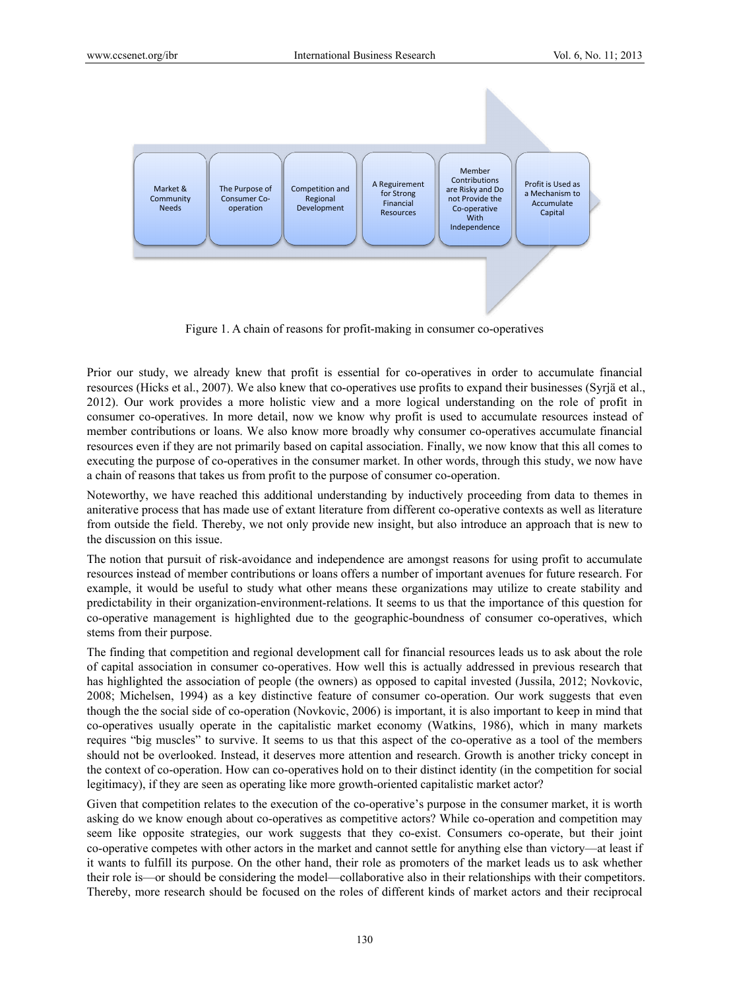

Figure 1. A chain of reasons for profit-making in consumer co-operatives

Prior our study, we already knew that profit is essential for co-operatives in order to accumulate financial resources (Hicks et al., 2007). We also knew that co-operatives use profits to expand their businesses (Syrjä et al., 2012). Our work provides a more holistic view and a more logical understanding on the role of profit in consumer co-operatives. In more detail, now we know why profit is used to accumulate resources instead of member contributions or loans. We also know more broadly why consumer co-operatives accumulate financial resources even if they are not primarily based on capital association. Finally, we now know that this all comes to executing the purpose of co-operatives in the consumer market. In other words, through this study, we now have a chain of reasons that takes us from profit to the purpose of consumer co-operation.

Noteworthy, we have reached this additional understanding by inductively proceeding from data to themes in aniterative process that has made use of extant literature from different co-operative contexts as well as literature from outside the field. Thereby, we not only provide new insight, but also introduce an approach that is new to the discuss sion on this iss sue.

The notion that pursuit of risk-avoidance and independence are amongst reasons for using profit to accumulate resources instead of member contributions or loans offers a number of important avenues for future research. For example, it would be useful to study what other means these organizations may utilize to create stability and predictability in their organization-environment-relations. It seems to us that the importance of this question for co-operative management is highlighted due to the geographic-boundness of consumer co-operatives, which stems from their purpose.

The finding that competition and regional development call for financial resources leads us to ask about the role of capital association in consumer co-operatives. How well this is actually addressed in previous research that has highlighted the association of people (the owners) as opposed to capital invested (Jussila, 2012; Novkovic, 2008; Michelsen, 1994) as a key distinctive feature of consumer co-operation. Our work suggests that even though the the social side of co-operation (Novkovic, 2006) is important, it is also important to keep in mind that co-operatives usually operate in the capitalistic market economy (Watkins, 1986), which in many markets requires "big muscles" to survive. It seems to us that this aspect of the co-operative as a tool of the members should not be overlooked. Instead, it deserves more attention and research. Growth is another tricky concept in the context of co-operation. How can co-operatives hold on to their distinct identity (in the competition for social legitimacy), if they are seen as operating like more growth-oriented capitalistic market actor?

Given that competition relates to the execution of the co-operative's purpose in the consumer market, it is worth asking do we know enough about co-operatives as competitive actors? While co-operation and competition may seem like opposite strategies, our work suggests that they co-exist. Consumers co-operate, but their joint co-operative competes with other actors in the market and cannot settle for anything else than victory—at least if it wants to fulfill its purpose. On the other hand, their role as promoters of the market leads us to ask whether their role is—or should be considering the model—collaborative also in their relationships with their competitors. Thereby, more research should be focused on the roles of different kinds of market actors and their reciprocal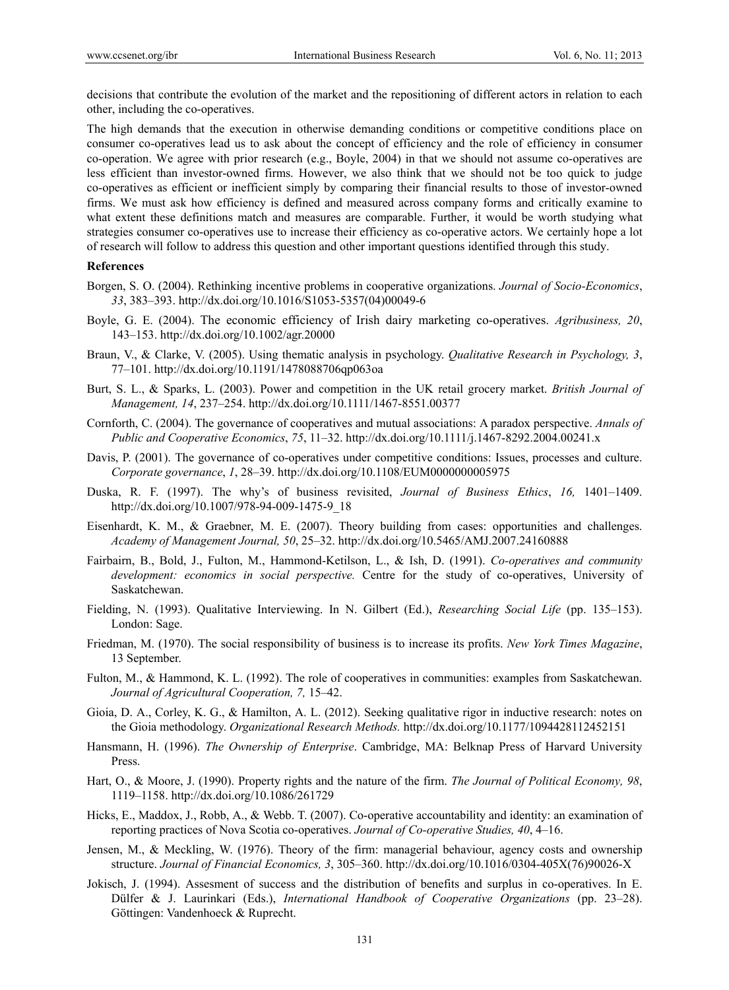decisions that contribute the evolution of the market and the repositioning of different actors in relation to each other, including the co-operatives.

The high demands that the execution in otherwise demanding conditions or competitive conditions place on consumer co-operatives lead us to ask about the concept of efficiency and the role of efficiency in consumer co-operation. We agree with prior research (e.g., Boyle, 2004) in that we should not assume co-operatives are less efficient than investor-owned firms. However, we also think that we should not be too quick to judge co-operatives as efficient or inefficient simply by comparing their financial results to those of investor-owned firms. We must ask how efficiency is defined and measured across company forms and critically examine to what extent these definitions match and measures are comparable. Further, it would be worth studying what strategies consumer co-operatives use to increase their efficiency as co-operative actors. We certainly hope a lot of research will follow to address this question and other important questions identified through this study.

## **References**

- Borgen, S. O. (2004). Rethinking incentive problems in cooperative organizations. *Journal of Socio-Economics*, *33*, 383–393. http://dx.doi.org/10.1016/S1053-5357(04)00049-6
- Boyle, G. E. (2004). The economic efficiency of Irish dairy marketing co-operatives. *Agribusiness, 20*, 143–153. http://dx.doi.org/10.1002/agr.20000
- Braun, V., & Clarke, V. (2005). Using thematic analysis in psychology. *Qualitative Research in Psychology, 3*, 77–101. http://dx.doi.org/10.1191/1478088706qp063oa
- Burt, S. L., & Sparks, L. (2003). Power and competition in the UK retail grocery market. *British Journal of Management, 14*, 237–254. http://dx.doi.org/10.1111/1467-8551.00377
- Cornforth, C. (2004). The governance of cooperatives and mutual associations: A paradox perspective. *Annals of Public and Cooperative Economics*, *75*, 11–32. http://dx.doi.org/10.1111/j.1467-8292.2004.00241.x
- Davis, P. (2001). The governance of co-operatives under competitive conditions: Issues, processes and culture. *Corporate governance*, *1*, 28–39. http://dx.doi.org/10.1108/EUM0000000005975
- Duska, R. F. (1997). The why's of business revisited, *Journal of Business Ethics*, *16,* 1401–1409. http://dx.doi.org/10.1007/978-94-009-1475-9\_18
- Eisenhardt, K. M., & Graebner, M. E. (2007). Theory building from cases: opportunities and challenges. *Academy of Management Journal, 50*, 25–32. http://dx.doi.org/10.5465/AMJ.2007.24160888
- Fairbairn, B., Bold, J., Fulton, M., Hammond-Ketilson, L., & Ish, D. (1991). *Co-operatives and community development: economics in social perspective.* Centre for the study of co-operatives, University of Saskatchewan.
- Fielding, N. (1993). Qualitative Interviewing. In N. Gilbert (Ed.), *Researching Social Life* (pp. 135–153). London: Sage.
- Friedman, M. (1970). The social responsibility of business is to increase its profits. *New York Times Magazine*, 13 September.
- Fulton, M., & Hammond, K. L. (1992). The role of cooperatives in communities: examples from Saskatchewan. *Journal of Agricultural Cooperation, 7,* 15–42.
- Gioia, D. A., Corley, K. G., & Hamilton, A. L. (2012). Seeking qualitative rigor in inductive research: notes on the Gioia methodology. *Organizational Research Methods.* http://dx.doi.org/10.1177/1094428112452151
- Hansmann, H. (1996). *The Ownership of Enterprise*. Cambridge, MA: Belknap Press of Harvard University Press.
- Hart, O., & Moore, J. (1990). Property rights and the nature of the firm. *The Journal of Political Economy, 98*, 1119–1158. http://dx.doi.org/10.1086/261729
- Hicks, E., Maddox, J., Robb, A., & Webb. T. (2007). Co-operative accountability and identity: an examination of reporting practices of Nova Scotia co-operatives. *Journal of Co-operative Studies, 40*, 4–16.
- Jensen, M., & Meckling, W. (1976). Theory of the firm: managerial behaviour, agency costs and ownership structure. *Journal of Financial Economics, 3*, 305–360. http://dx.doi.org/10.1016/0304-405X(76)90026-X
- Jokisch, J. (1994). Assesment of success and the distribution of benefits and surplus in co-operatives. In E. Dülfer & J. Laurinkari (Eds.), *International Handbook of Cooperative Organizations* (pp. 23–28). Göttingen: Vandenhoeck & Ruprecht.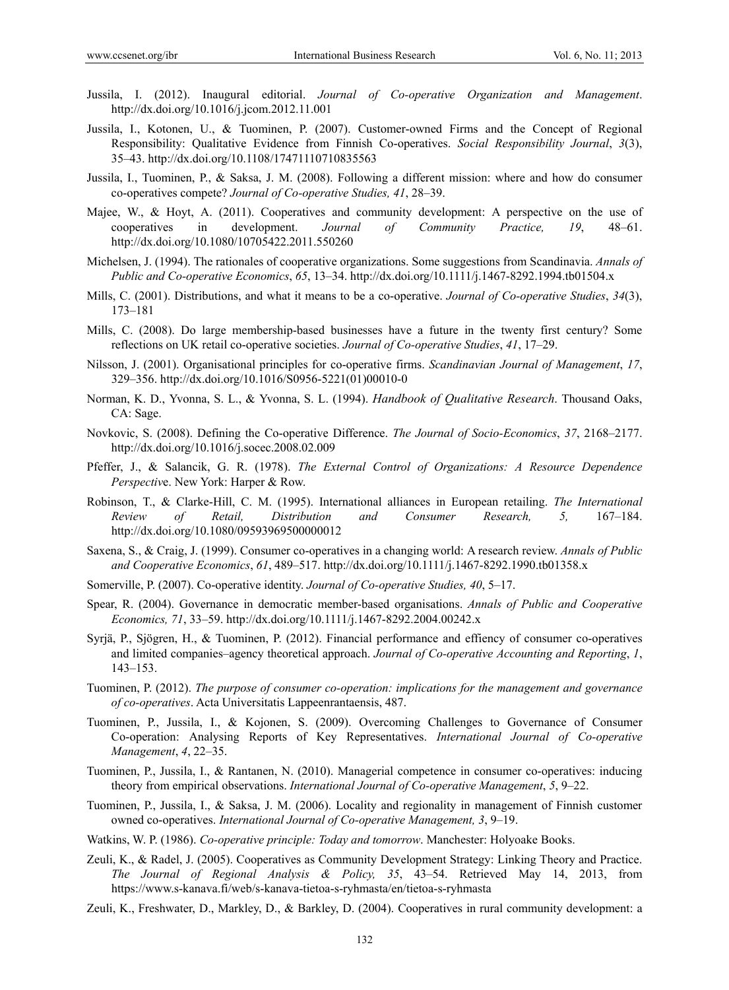- Jussila, I. (2012). Inaugural editorial. *Journal of Co-operative Organization and Management*. http://dx.doi.org/10.1016/j.jcom.2012.11.001
- Jussila, I., Kotonen, U., & Tuominen, P. (2007). Customer-owned Firms and the Concept of Regional Responsibility: Qualitative Evidence from Finnish Co-operatives. *Social Responsibility Journal*, *3*(3), 35–43. http://dx.doi.org/10.1108/17471110710835563
- Jussila, I., Tuominen, P., & Saksa, J. M. (2008). Following a different mission: where and how do consumer co-operatives compete? *Journal of Co-operative Studies, 41*, 28–39.
- Majee, W., & Hoyt, A. (2011). Cooperatives and community development: A perspective on the use of cooperatives in development. *Journal of Community Practice, 19*, 48–61. http://dx.doi.org/10.1080/10705422.2011.550260
- Michelsen, J. (1994). The rationales of cooperative organizations. Some suggestions from Scandinavia. *Annals of Public and Co-operative Economics*, *65*, 13–34. http://dx.doi.org/10.1111/j.1467-8292.1994.tb01504.x
- Mills, C. (2001). Distributions, and what it means to be a co-operative. *Journal of Co-operative Studies*, *34*(3), 173–181
- Mills, C. (2008). Do large membership-based businesses have a future in the twenty first century? Some reflections on UK retail co-operative societies. *Journal of Co-operative Studies*, *41*, 17–29.
- Nilsson, J. (2001). Organisational principles for co-operative firms. *Scandinavian Journal of Management*, *17*, 329–356. http://dx.doi.org/10.1016/S0956-5221(01)00010-0
- Norman, K. D., Yvonna, S. L., & Yvonna, S. L. (1994). *Handbook of Qualitative Research*. Thousand Oaks, CA: Sage.
- Novkovic, S. (2008). Defining the Co-operative Difference. *The Journal of Socio-Economics*, *37*, 2168–2177. http://dx.doi.org/10.1016/j.socec.2008.02.009
- Pfeffer, J., & Salancik, G. R. (1978). *The External Control of Organizations: A Resource Dependence Perspectiv*e. New York: Harper & Row.
- Robinson, T., & Clarke-Hill, C. M. (1995). International alliances in European retailing. *The International Review of Retail, Distribution and Consumer Research, 5,* 167–184. http://dx.doi.org/10.1080/09593969500000012
- Saxena, S., & Craig, J. (1999). Consumer co-operatives in a changing world: A research review. *Annals of Public and Cooperative Economics*, *61*, 489–517. http://dx.doi.org/10.1111/j.1467-8292.1990.tb01358.x
- Somerville, P. (2007). Co-operative identity. *Journal of Co-operative Studies, 40*, 5–17.
- Spear, R. (2004). Governance in democratic member-based organisations. *Annals of Public and Cooperative Economics, 71*, 33–59. http://dx.doi.org/10.1111/j.1467-8292.2004.00242.x
- Syrjä, P., Sjögren, H., & Tuominen, P. (2012). Financial performance and effiency of consumer co-operatives and limited companies–agency theoretical approach. *Journal of Co-operative Accounting and Reporting*, *1*, 143–153.
- Tuominen, P. (2012). *The purpose of consumer co-operation: implications for the management and governance of co-operatives*. Acta Universitatis Lappeenrantaensis, 487.
- Tuominen, P., Jussila, I., & Kojonen, S. (2009). Overcoming Challenges to Governance of Consumer Co-operation: Analysing Reports of Key Representatives. *International Journal of Co-operative Management*, *4*, 22–35.
- Tuominen, P., Jussila, I., & Rantanen, N. (2010). Managerial competence in consumer co-operatives: inducing theory from empirical observations. *International Journal of Co-operative Management*, *5*, 9–22.
- Tuominen, P., Jussila, I., & Saksa, J. M. (2006). Locality and regionality in management of Finnish customer owned co-operatives. *International Journal of Co-operative Management, 3*, 9–19.
- Watkins, W. P. (1986). *Co-operative principle: Today and tomorrow*. Manchester: Holyoake Books.
- Zeuli, K., & Radel, J. (2005). Cooperatives as Community Development Strategy: Linking Theory and Practice. *The Journal of Regional Analysis & Policy, 35*, 43–54. Retrieved May 14, 2013, from https://www.s-kanava.fi/web/s-kanava-tietoa-s-ryhmasta/en/tietoa-s-ryhmasta
- Zeuli, K., Freshwater, D., Markley, D., & Barkley, D. (2004). Cooperatives in rural community development: a